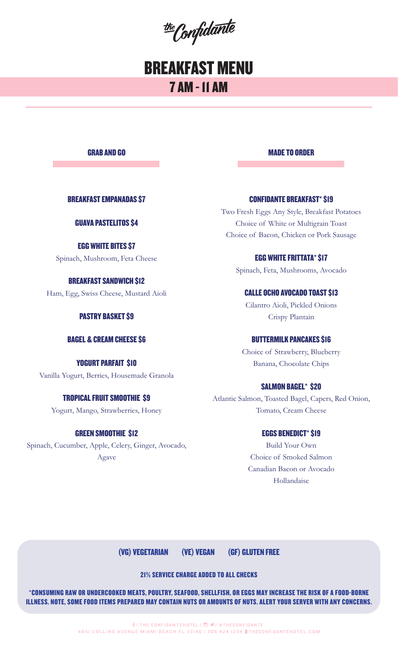the Confidante

# BREAKFAST MENU 7 AM - 11 AM

GRAB AND GO

BREAKFAST EMPANADAS \$7

## GUAVA PASTELITOS \$4

EGG WHITE BITES \$7 Spinach, Mushroom, Feta Cheese

BREAKFAST SANDWICH \$12 Ham, Egg, Swiss Cheese, Mustard Aioli

## PASTRY BASKET \$9

### BAGEL & CREAM CHEESE \$6

YOGURT PARFAIT \$10 Vanilla Yogurt, Berries, Housemade Granola

## TROPICAL FRUIT SMOOTHIE \$9

Yogurt, Mango, Strawberries, Honey

## GREEN SMOOTHIE \$12

Spinach, Cucumber, Apple, Celery, Ginger, Avocado, Agave

MADE TO ORDER

## CONFIDANTE BREAKFAST\* \$19

Two Fresh Eggs Any Style, Breakfast Potatoes Choice of White or Multigrain Toast Choice of Bacon, Chicken or Pork Sausage

## EGG WHITE FRITTATA\* \$17

Spinach, Feta, Mushrooms, Avocado

## CALLE OCHO AVOCADO TOAST \$13

Cilantro Aioli, Pickled Onions Crispy Plantain

## BUTTERMILK PANCAKES \$16

Choice of Strawberry, Blueberry Banana, Chocolate Chips

## SALMON BAGEL\* \$20

Atlantic Salmon, Toasted Bagel, Capers, Red Onion, Tomato, Cream Cheese

## EGGS BENEDICT\* \$19

Build Your Own Choice of Smoked Salmon Canadian Bacon or Avocado Hollandaise

(VG) VEGETARIAN (VE) VEGAN (GF) GLUTEN FREE

21% SERVICE CHARGE ADDED TO ALL CHECKS

\*CONSUMING RAW OR UNDERCOOKED MEATS, POULTRY, SEAFOOD, SHELLFISH, OR EGGS MAY INCREASE THE RISK OF A FOOD-BORNE ILLNESS. NOTE, SOME FOOD ITEMS PREPARED MAY CONTAIN NUTS OR AMOUNTS OF NUTS. ALERT YOUR SERVER WITH ANY CONCERNS.